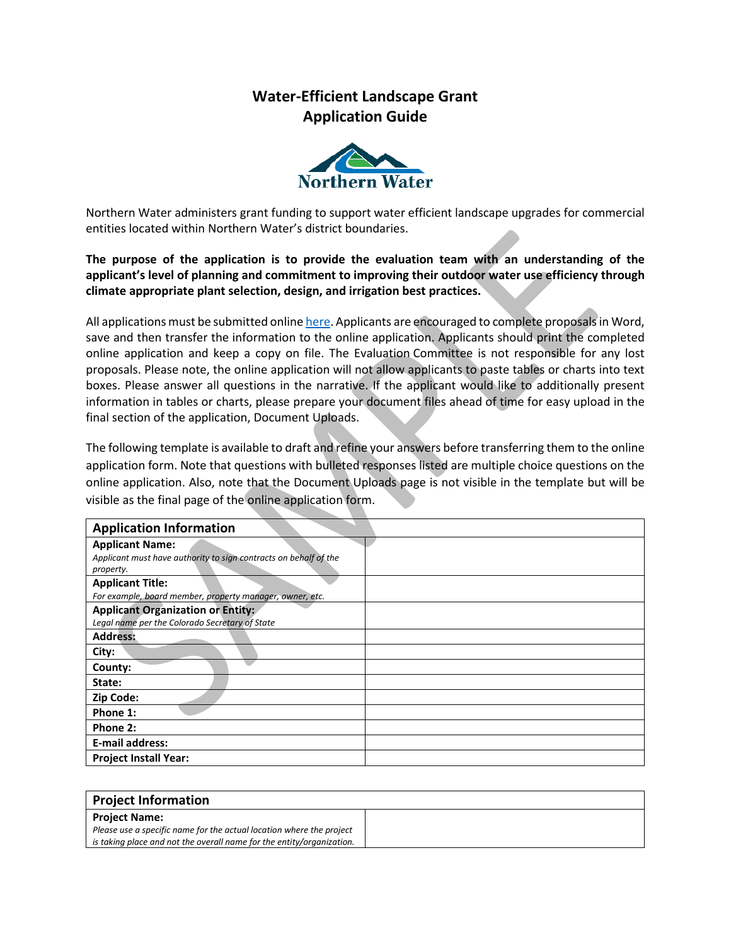## **Water-Efficient Landscape Grant Application Guide**



Northern Water administers grant funding to support water efficient landscape upgrades for commercial entities located within Northern Water's district boundaries.

**The purpose of the application is to provide the evaluation team with an understanding of the applicant's level of planning and commitment to improving their outdoor water use efficiency through climate appropriate plant selection, design, and irrigation best practices.**

All applications must be submitted onlin[e here.](https://survey123.arcgis.com/share/bae4a6bfea304c0494fe97fa4c6bc38d) Applicants are encouraged to complete proposals in Word, save and then transfer the information to the online application. Applicants should print the completed online application and keep a copy on file. The Evaluation Committee is not responsible for any lost proposals. Please note, the online application will not allow applicants to paste tables or charts into text boxes. Please answer all questions in the narrative. If the applicant would like to additionally present information in tables or charts, please prepare your document files ahead of time for easy upload in the final section of the application, Document Uploads.

The following template is available to draft and refine your answers before transferring them to the online application form. Note that questions with bulleted responses listed are multiple choice questions on the online application. Also, note that the Document Uploads page is not visible in the template but will be visible as the final page of the online application form.

| <b>Application Information</b>                                                                          |
|---------------------------------------------------------------------------------------------------------|
| <b>Applicant Name:</b><br>Applicant must have authority to sign contracts on behalf of the<br>property. |
| <b>Applicant Title:</b><br>For example, board member, property manager, owner, etc.                     |
| <b>Applicant Organization or Entity:</b><br>Legal name per the Colorado Secretary of State              |
| <b>Address:</b>                                                                                         |
| City:                                                                                                   |
| County:                                                                                                 |
| State:                                                                                                  |
| Zip Code:                                                                                               |
| Phone 1:                                                                                                |
| Phone 2:                                                                                                |
| <b>E-mail address:</b>                                                                                  |
| <b>Project Install Year:</b>                                                                            |

| <b>Project Information</b>                                            |  |
|-----------------------------------------------------------------------|--|
| <b>Proiect Name:</b>                                                  |  |
| Please use a specific name for the actual location where the project  |  |
| is taking place and not the overall name for the entity/organization. |  |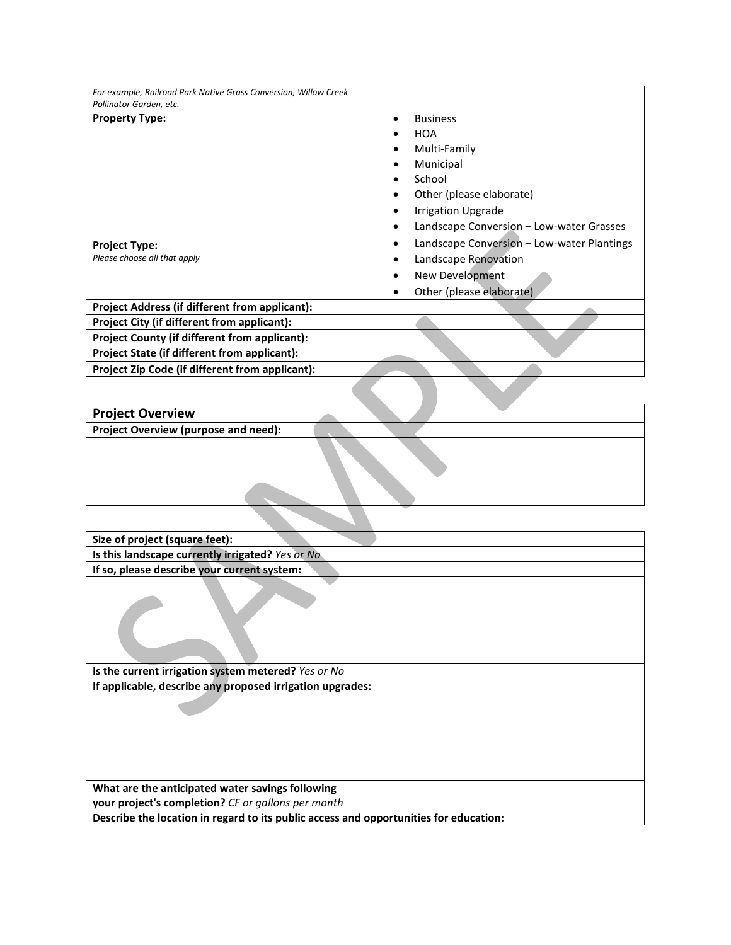| For example, Railroad Park Native Grass Conversion, Willow Creek |                                            |
|------------------------------------------------------------------|--------------------------------------------|
| Pollinator Garden, etc.                                          |                                            |
| <b>Property Type:</b>                                            | <b>Business</b>                            |
|                                                                  | <b>HOA</b>                                 |
|                                                                  | Multi-Family                               |
|                                                                  | Municipal                                  |
|                                                                  | School                                     |
|                                                                  | Other (please elaborate)                   |
|                                                                  | <b>Irrigation Upgrade</b><br>٠             |
|                                                                  | Landscape Conversion - Low-water Grasses   |
| <b>Project Type:</b>                                             | Landscape Conversion - Low-water Plantings |
| Please choose all that apply                                     | Landscape Renovation                       |
|                                                                  | New Development                            |
|                                                                  | Other (please elaborate)                   |
| <b>Project Address (if different from applicant):</b>            |                                            |
| Project City (if different from applicant):                      |                                            |
| <b>Project County (if different from applicant):</b>             |                                            |
| Project State (if different from applicant):                     |                                            |
| Project Zip Code (if different from applicant):                  |                                            |
|                                                                  |                                            |
| <b>Droject Overview</b>                                          |                                            |

| <b>Project Overview</b>              |  |  |
|--------------------------------------|--|--|
| Project Overview (purpose and need): |  |  |
|                                      |  |  |
|                                      |  |  |

| Size of project (square feet):                                                        |  |  |
|---------------------------------------------------------------------------------------|--|--|
| Is this landscape currently irrigated? Yes or No                                      |  |  |
| If so, please describe your current system:                                           |  |  |
|                                                                                       |  |  |
| Is the current irrigation system metered? Yes or No                                   |  |  |
| If applicable, describe any proposed irrigation upgrades:                             |  |  |
|                                                                                       |  |  |
| What are the anticipated water savings following                                      |  |  |
| your project's completion? CF or gallons per month                                    |  |  |
| Describe the location in regard to its public access and opportunities for education: |  |  |